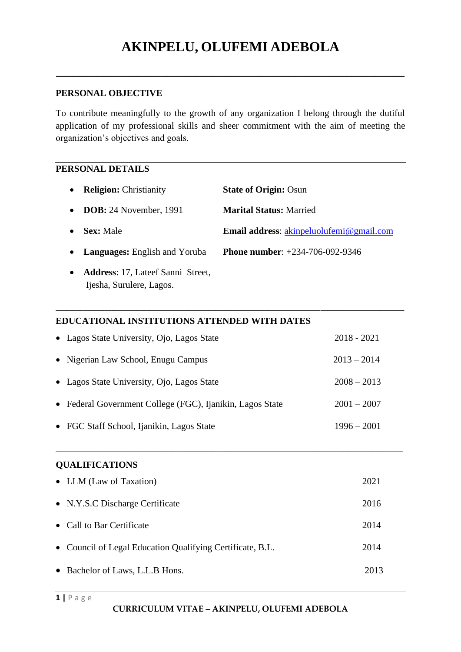# **AKINPELU, OLUFEMI ADEBOLA**

**\_\_\_\_\_\_\_\_\_\_\_\_\_\_\_\_\_\_\_\_\_\_\_\_\_\_\_\_\_\_\_\_\_\_\_\_\_\_\_\_\_\_\_\_\_\_\_\_\_\_\_\_\_\_\_\_\_\_\_\_**

## **PERSONAL OBJECTIVE**

To contribute meaningfully to the growth of any organization I belong through the dutiful application of my professional skills and sheer commitment with the aim of meeting the organization's objectives and goals.

### **PERSONAL DETAILS**

| <b>Religion:</b> Christianity<br>$\bullet$                                        | <b>State of Origin: Osun</b>                    |
|-----------------------------------------------------------------------------------|-------------------------------------------------|
| <b>DOB:</b> 24 November, 1991<br>$\bullet$                                        | <b>Marital Status: Married</b>                  |
| <b>Sex:</b> Male                                                                  | <b>Email address:</b> akinpeluolufemi@gmail.com |
| <b>Languages:</b> English and Yoruba<br>$\bullet$                                 | <b>Phone number:</b> $+234-706-092-9346$        |
| <b>Address:</b> 17, Lateef Sanni Street,<br>$\bullet$<br>Ijesha, Surulere, Lagos. |                                                 |

**\_\_\_\_\_\_\_\_\_\_\_\_\_\_\_\_\_\_\_\_\_\_\_\_\_\_\_\_\_\_\_\_\_\_\_\_\_\_\_\_\_\_\_\_\_\_\_\_\_\_\_\_\_\_\_\_\_\_\_\_\_\_\_\_\_\_\_\_\_\_\_\_\_\_\_\_\_\_\_\_\_\_\_\_\_\_\_\_\_\_\_\_\_\_\_\_\_\_\_\_**

# **EDUCATIONAL INSTITUTIONS ATTENDED WITH DATES**

| • Lagos State University, Ojo, Lagos State                | 2018 - 2021   |
|-----------------------------------------------------------|---------------|
| • Nigerian Law School, Enugu Campus                       | $2013 - 2014$ |
| • Lagos State University, Ojo, Lagos State                | $2008 - 2013$ |
| • Federal Government College (FGC), Ijanikin, Lagos State | $2001 - 2007$ |
| • FGC Staff School, Ijanikin, Lagos State                 | $1996 - 2001$ |

\_\_\_\_\_\_\_\_\_\_\_\_\_\_\_\_\_\_\_\_\_\_\_\_\_\_\_\_\_\_\_\_\_\_\_\_\_\_\_\_\_\_\_\_\_\_\_\_\_\_\_\_\_\_\_\_\_\_\_\_\_\_\_\_\_\_\_\_\_

#### **QUALIFICATIONS**

| • LLM (Law of Taxation)                                   | 2021 |
|-----------------------------------------------------------|------|
| • N.Y.S.C Discharge Certificate                           | 2016 |
| • Call to Bar Certificate                                 | 2014 |
| • Council of Legal Education Qualifying Certificate, B.L. | 2014 |
| • Bachelor of Laws, L.L.B Hons.                           | 2013 |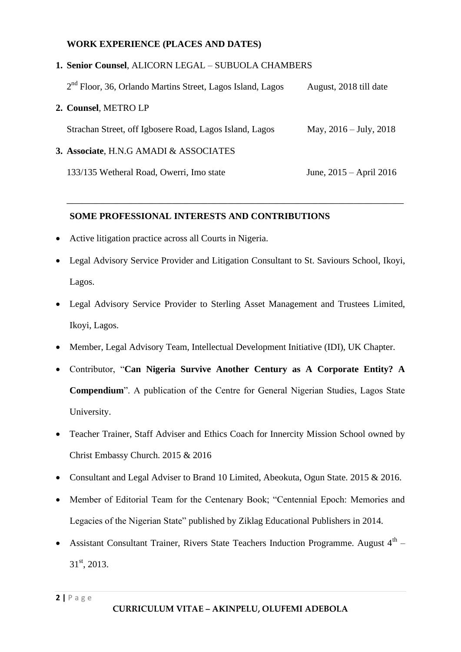#### **WORK EXPERIENCE (PLACES AND DATES)**

## **1. Senior Counsel**, ALICORN LEGAL – SUBUOLA CHAMBERS

| $2nd$ Floor, 36, Orlando Martins Street, Lagos Island, Lagos | August, 2018 till date    |
|--------------------------------------------------------------|---------------------------|
| 2. Counsel, METRO LP                                         |                           |
| Strachan Street, off Igbosere Road, Lagos Island, Lagos      | May, $2016 - July, 2018$  |
| 3. Associate, H.N.G AMADI & ASSOCIATES                       |                           |
| 133/135 Wetheral Road, Owerri, Imo state                     | June, $2015 -$ April 2016 |

## **SOME PROFESSIONAL INTERESTS AND CONTRIBUTIONS**

- Active litigation practice across all Courts in Nigeria.
- Legal Advisory Service Provider and Litigation Consultant to St. Saviours School, Ikoyi, Lagos.

\_\_\_\_\_\_\_\_\_\_\_\_\_\_\_\_\_\_\_\_\_\_\_\_\_\_\_\_\_\_\_\_\_\_\_\_\_\_\_\_\_\_\_\_\_\_\_\_\_\_\_\_\_\_\_\_\_\_\_\_\_\_\_\_\_\_\_

- Legal Advisory Service Provider to Sterling Asset Management and Trustees Limited, Ikoyi, Lagos.
- Member, Legal Advisory Team, Intellectual Development Initiative (IDI), UK Chapter.
- Contributor, "**Can Nigeria Survive Another Century as A Corporate Entity? A Compendium**". A publication of the Centre for General Nigerian Studies, Lagos State University.
- Teacher Trainer, Staff Adviser and Ethics Coach for Innercity Mission School owned by Christ Embassy Church. 2015 & 2016
- Consultant and Legal Adviser to Brand 10 Limited, Abeokuta, Ogun State. 2015 & 2016.
- Member of Editorial Team for the Centenary Book; "Centennial Epoch: Memories and Legacies of the Nigerian State" published by Ziklag Educational Publishers in 2014.
- Assistant Consultant Trainer, Rivers State Teachers Induction Programme. August  $4^{\text{th}}$  31<sup>st</sup>, 2013.